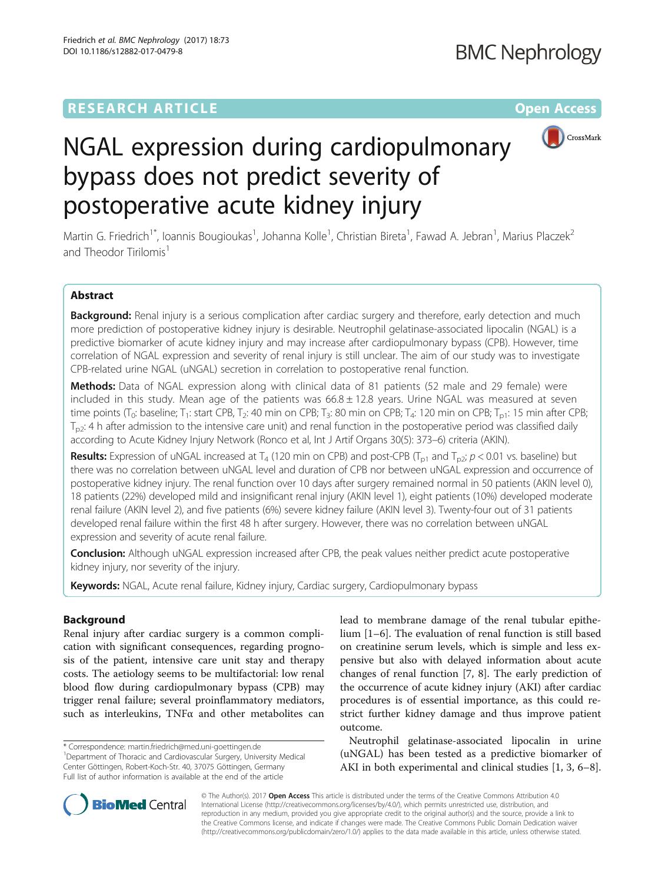## **RESEARCH ARTICLE External Structure Community Community Community Community Community Community Community Community**



# NGAL expression during cardiopulmonary bypass does not predict severity of postoperative acute kidney injury

Martin G. Friedrich<sup>1\*</sup>, Ioannis Bougioukas<sup>1</sup>, Johanna Kolle<sup>1</sup>, Christian Bireta<sup>1</sup>, Fawad A. Jebran<sup>1</sup>, Marius Placzek<sup>2</sup> and Theodor Tirilomis<sup>1</sup>

## Abstract

Background: Renal injury is a serious complication after cardiac surgery and therefore, early detection and much more prediction of postoperative kidney injury is desirable. Neutrophil gelatinase-associated lipocalin (NGAL) is a predictive biomarker of acute kidney injury and may increase after cardiopulmonary bypass (CPB). However, time correlation of NGAL expression and severity of renal injury is still unclear. The aim of our study was to investigate CPB-related urine NGAL (uNGAL) secretion in correlation to postoperative renal function.

Methods: Data of NGAL expression along with clinical data of 81 patients (52 male and 29 female) were included in this study. Mean age of the patients was  $66.8 \pm 12.8$  years. Urine NGAL was measured at seven time points (T<sub>0</sub>: baseline; T<sub>1</sub>: start CPB, T<sub>2</sub>: 40 min on CPB; T<sub>3</sub>: 80 min on CPB; T<sub>4</sub>: 120 min on CPB; T<sub>p1</sub>: 15 min after CPB;  $T_{p2}$ : 4 h after admission to the intensive care unit) and renal function in the postoperative period was classified daily according to Acute Kidney Injury Network (Ronco et al, Int J Artif Organs 30(5): 373–6) criteria (AKIN).

**Results:** Expression of uNGAL increased at T<sub>4</sub> (120 min on CPB) and post-CPB (T<sub>p1</sub> and T<sub>p2</sub>; p < 0.01 vs. baseline) but there was no correlation between uNGAL level and duration of CPB nor between uNGAL expression and occurrence of postoperative kidney injury. The renal function over 10 days after surgery remained normal in 50 patients (AKIN level 0), 18 patients (22%) developed mild and insignificant renal injury (AKIN level 1), eight patients (10%) developed moderate renal failure (AKIN level 2), and five patients (6%) severe kidney failure (AKIN level 3). Twenty-four out of 31 patients developed renal failure within the first 48 h after surgery. However, there was no correlation between uNGAL expression and severity of acute renal failure.

Conclusion: Although uNGAL expression increased after CPB, the peak values neither predict acute postoperative kidney injury, nor severity of the injury.

Keywords: NGAL, Acute renal failure, Kidney injury, Cardiac surgery, Cardiopulmonary bypass

## Background

Renal injury after cardiac surgery is a common complication with significant consequences, regarding prognosis of the patient, intensive care unit stay and therapy costs. The aetiology seems to be multifactorial: low renal blood flow during cardiopulmonary bypass (CPB) may trigger renal failure; several proinflammatory mediators, such as interleukins, TNFα and other metabolites can lead to membrane damage of the renal tubular epithelium [\[1](#page-6-0)–[6](#page-6-0)]. The evaluation of renal function is still based on creatinine serum levels, which is simple and less expensive but also with delayed information about acute changes of renal function [[7, 8](#page-6-0)]. The early prediction of the occurrence of acute kidney injury (AKI) after cardiac procedures is of essential importance, as this could restrict further kidney damage and thus improve patient outcome.

Neutrophil gelatinase-associated lipocalin in urine (uNGAL) has been tested as a predictive biomarker of AKI in both experimental and clinical studies [\[1](#page-6-0), [3](#page-6-0), [6](#page-6-0)–[8](#page-6-0)].



© The Author(s). 2017 **Open Access** This article is distributed under the terms of the Creative Commons Attribution 4.0 International License [\(http://creativecommons.org/licenses/by/4.0/](http://creativecommons.org/licenses/by/4.0/)), which permits unrestricted use, distribution, and reproduction in any medium, provided you give appropriate credit to the original author(s) and the source, provide a link to the Creative Commons license, and indicate if changes were made. The Creative Commons Public Domain Dedication waiver [\(http://creativecommons.org/publicdomain/zero/1.0/](http://creativecommons.org/publicdomain/zero/1.0/)) applies to the data made available in this article, unless otherwise stated.

<sup>\*</sup> Correspondence: [martin.friedrich@med.uni-goettingen.de](mailto:martin.friedrich@med.uni-goettingen.de) <sup>1</sup>

<sup>&</sup>lt;sup>1</sup>Department of Thoracic and Cardiovascular Surgery, University Medical Center Göttingen, Robert-Koch-Str. 40, 37075 Göttingen, Germany Full list of author information is available at the end of the article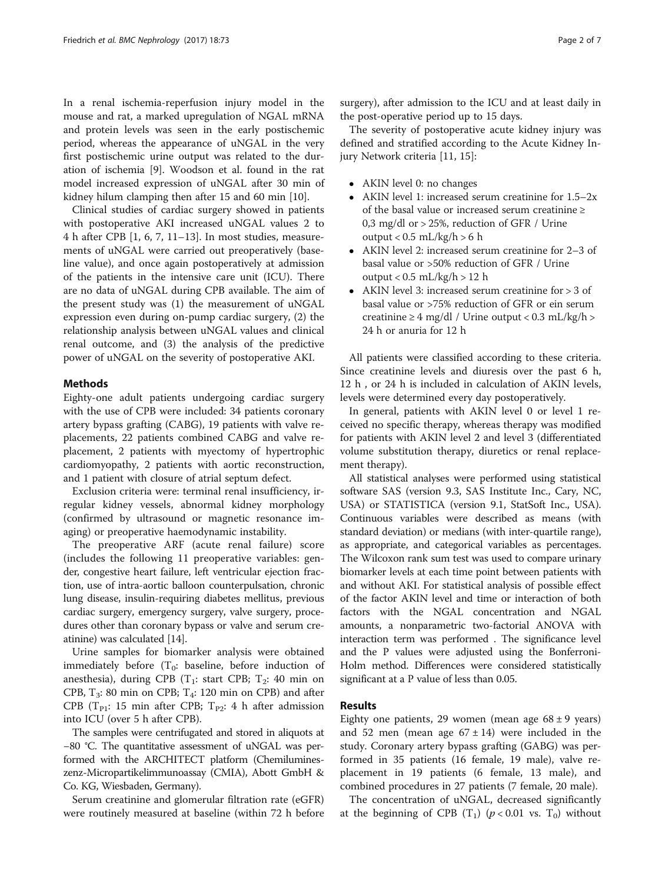In a renal ischemia-reperfusion injury model in the mouse and rat, a marked upregulation of NGAL mRNA and protein levels was seen in the early postischemic period, whereas the appearance of uNGAL in the very first postischemic urine output was related to the duration of ischemia [\[9](#page-6-0)]. Woodson et al. found in the rat model increased expression of uNGAL after 30 min of kidney hilum clamping then after 15 and 60 min [\[10\]](#page-6-0).

Clinical studies of cardiac surgery showed in patients with postoperative AKI increased uNGAL values 2 to 4 h after CPB [\[1](#page-6-0), [6](#page-6-0), [7](#page-6-0), [11](#page-6-0)–[13](#page-6-0)]. In most studies, measurements of uNGAL were carried out preoperatively (baseline value), and once again postoperatively at admission of the patients in the intensive care unit (ICU). There are no data of uNGAL during CPB available. The aim of the present study was (1) the measurement of uNGAL expression even during on-pump cardiac surgery, (2) the relationship analysis between uNGAL values and clinical renal outcome, and (3) the analysis of the predictive power of uNGAL on the severity of postoperative AKI.

### Methods

Eighty-one adult patients undergoing cardiac surgery with the use of CPB were included: 34 patients coronary artery bypass grafting (CABG), 19 patients with valve replacements, 22 patients combined CABG and valve replacement, 2 patients with myectomy of hypertrophic cardiomyopathy, 2 patients with aortic reconstruction, and 1 patient with closure of atrial septum defect.

Exclusion criteria were: terminal renal insufficiency, irregular kidney vessels, abnormal kidney morphology (confirmed by ultrasound or magnetic resonance imaging) or preoperative haemodynamic instability.

The preoperative ARF (acute renal failure) score (includes the following 11 preoperative variables: gender, congestive heart failure, left ventricular ejection fraction, use of intra-aortic balloon counterpulsation, chronic lung disease, insulin-requiring diabetes mellitus, previous cardiac surgery, emergency surgery, valve surgery, procedures other than coronary bypass or valve and serum creatinine) was calculated [[14](#page-6-0)].

Urine samples for biomarker analysis were obtained immediately before  $(T_0:$  baseline, before induction of anesthesia), during CPB  $(T_1: start CPB; T_2: 40 min on$ CPB,  $T_3$ : 80 min on CPB;  $T_4$ : 120 min on CPB) and after CPB ( $T_{P1}$ : 15 min after CPB;  $T_{P2}$ : 4 h after admission into ICU (over 5 h after CPB).

The samples were centrifugated and stored in aliquots at −80 °C. The quantitative assessment of uNGAL was performed with the ARCHITECT platform (Chemilumineszenz-Micropartikelimmunoassay (CMIA), Abott GmbH & Co. KG, Wiesbaden, Germany).

Serum creatinine and glomerular filtration rate (eGFR) were routinely measured at baseline (within 72 h before surgery), after admission to the ICU and at least daily in the post-operative period up to 15 days.

The severity of postoperative acute kidney injury was defined and stratified according to the Acute Kidney Injury Network criteria [[11, 15\]](#page-6-0):

- AKIN level 0: no changes
- AKIN level 1: increased serum creatinine for 1.5–2x of the basal value or increased serum creatinine ≥ 0,3 mg/dl or > 25%, reduction of GFR / Urine output <  $0.5$  mL/kg/h >  $6$  h
- AKIN level 2: increased serum creatinine for 2–3 of basal value or >50% reduction of GFR / Urine output <  $0.5$  mL/kg/h > 12 h
- AKIN level 3: increased serum creatinine for > 3 of basal value or >75% reduction of GFR or ein serum creatinine  $\geq 4$  mg/dl / Urine output < 0.3 mL/kg/h > 24 h or anuria for 12 h

All patients were classified according to these criteria. Since creatinine levels and diuresis over the past 6 h, 12 h , or 24 h is included in calculation of AKIN levels, levels were determined every day postoperatively.

In general, patients with AKIN level 0 or level 1 received no specific therapy, whereas therapy was modified for patients with AKIN level 2 and level 3 (differentiated volume substitution therapy, diuretics or renal replacement therapy).

All statistical analyses were performed using statistical software SAS (version 9.3, SAS Institute Inc., Cary, NC, USA) or STATISTICA (version 9.1, StatSoft Inc., USA). Continuous variables were described as means (with standard deviation) or medians (with inter-quartile range), as appropriate, and categorical variables as percentages. The Wilcoxon rank sum test was used to compare urinary biomarker levels at each time point between patients with and without AKI. For statistical analysis of possible effect of the factor AKIN level and time or interaction of both factors with the NGAL concentration and NGAL amounts, a nonparametric two-factorial ANOVA with interaction term was performed . The significance level and the P values were adjusted using the Bonferroni-Holm method. Differences were considered statistically significant at a P value of less than 0.05.

## Results

Eighty one patients, 29 women (mean age  $68 \pm 9$  years) and 52 men (mean age  $67 \pm 14$ ) were included in the study. Coronary artery bypass grafting (GABG) was performed in 35 patients (16 female, 19 male), valve replacement in 19 patients (6 female, 13 male), and combined procedures in 27 patients (7 female, 20 male).

The concentration of uNGAL, decreased significantly at the beginning of CPB  $(T_1)$   $(p < 0.01$  vs.  $T_0)$  without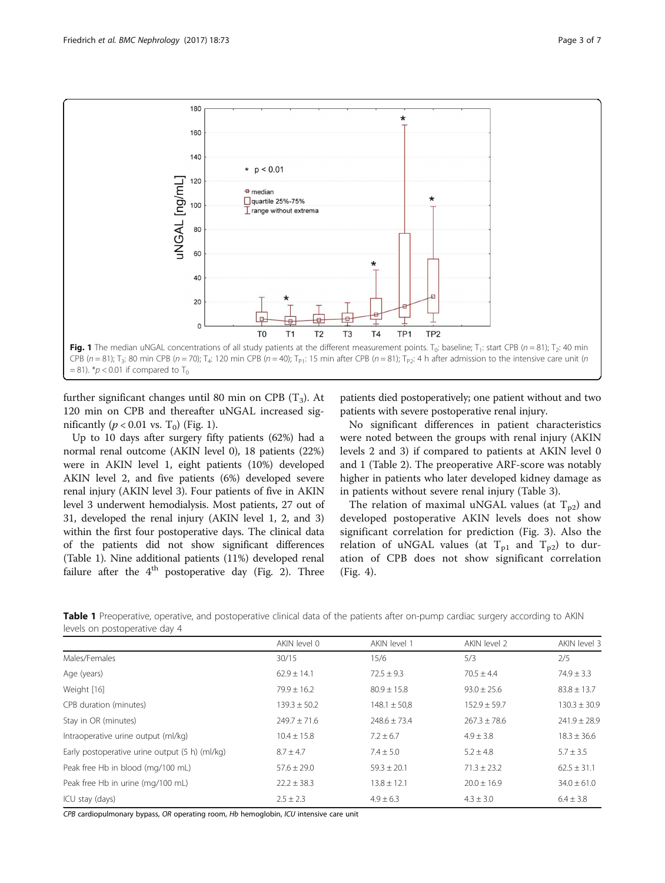<span id="page-2-0"></span>

further significant changes until 80 min on CPB  $(T_3)$ . At 120 min on CPB and thereafter uNGAL increased significantly ( $p < 0.01$  vs. T<sub>0</sub>) (Fig. 1).

Up to 10 days after surgery fifty patients (62%) had a normal renal outcome (AKIN level 0), 18 patients (22%) were in AKIN level 1, eight patients (10%) developed AKIN level 2, and five patients (6%) developed severe renal injury (AKIN level 3). Four patients of five in AKIN level 3 underwent hemodialysis. Most patients, 27 out of 31, developed the renal injury (AKIN level 1, 2, and 3) within the first four postoperative days. The clinical data of the patients did not show significant differences (Table 1). Nine additional patients (11%) developed renal failure after the  $4<sup>th</sup>$  postoperative day (Fig. [2](#page-3-0)). Three patients died postoperatively; one patient without and two patients with severe postoperative renal injury.

No significant differences in patient characteristics were noted between the groups with renal injury (AKIN levels 2 and 3) if compared to patients at AKIN level 0 and 1 (Table [2\)](#page-3-0). The preoperative ARF-score was notably higher in patients who later developed kidney damage as in patients without severe renal injury (Table [3\)](#page-4-0).

The relation of maximal uNGAL values (at  $T_{p2}$ ) and developed postoperative AKIN levels does not show significant correlation for prediction (Fig. [3](#page-4-0)). Also the relation of uNGAL values (at  $T_{p1}$  and  $T_{p2}$ ) to duration of CPB does not show significant correlation (Fig. [4\)](#page-5-0).

Table 1 Preoperative, operative, and postoperative clinical data of the patients after on-pump cardiac surgery according to AKIN levels on postoperative day 4

|                                                | AKIN level 0     | AKIN level 1     | AKIN level 2     | AKIN level 3     |
|------------------------------------------------|------------------|------------------|------------------|------------------|
| Males/Females                                  | 30/15            | 15/6             | 5/3              | 2/5              |
| Age (years)                                    | $62.9 \pm 14.1$  | $72.5 \pm 9.3$   | $70.5 \pm 4.4$   | $74.9 \pm 3.3$   |
| Weight [16]                                    | $79.9 \pm 16.2$  | $80.9 \pm 15.8$  | $93.0 \pm 25.6$  | $83.8 \pm 13.7$  |
| CPB duration (minutes)                         | $139.3 \pm 50.2$ | $148.1 \pm 50.8$ | $152.9 \pm 59.7$ | $130.3 \pm 30.9$ |
| Stay in OR (minutes)                           | $249.7 \pm 71.6$ | $248.6 \pm 73.4$ | $267.3 \pm 78.6$ | $241.9 \pm 28.9$ |
| Intraoperative urine output (ml/kg)            | $10.4 \pm 15.8$  | $7.2 \pm 6.7$    | $4.9 \pm 3.8$    | $18.3 \pm 36.6$  |
| Early postoperative urine output (5 h) (ml/kg) | $8.7 \pm 4.7$    | $7.4 \pm 5.0$    | $5.2 \pm 4.8$    | $5.7 \pm 3.5$    |
| Peak free Hb in blood (mg/100 mL)              | $57.6 \pm 29.0$  | $59.3 \pm 20.1$  | $71.3 \pm 23.2$  | $62.5 \pm 31.1$  |
| Peak free Hb in urine (mg/100 mL)              | $22.2 \pm 38.3$  | $13.8 \pm 12.1$  | $20.0 \pm 16.9$  | $34.0 \pm 61.0$  |
| ICU stay (days)                                | $2.5 \pm 2.3$    | $4.9 \pm 6.3$    | $4.3 \pm 3.0$    | $6.4 \pm 3.8$    |

CPB cardiopulmonary bypass, OR operating room, Hb hemoglobin, ICU intensive care unit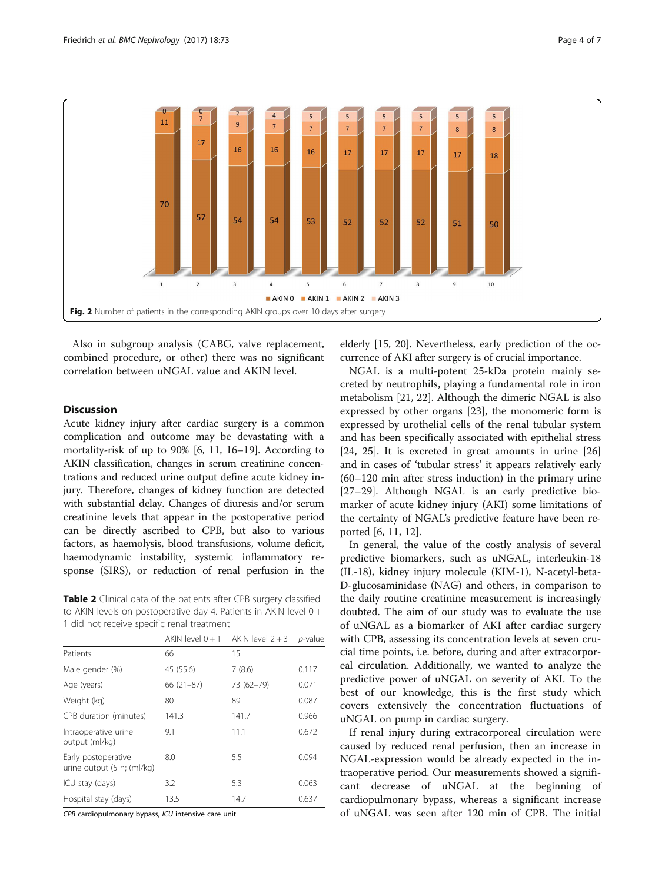<span id="page-3-0"></span>

Also in subgroup analysis (CABG, valve replacement, combined procedure, or other) there was no significant correlation between uNGAL value and AKIN level.

## **Discussion**

Acute kidney injury after cardiac surgery is a common complication and outcome may be devastating with a mortality-risk of up to 90% [\[6](#page-6-0), [11, 16](#page-6-0)–[19\]](#page-6-0). According to AKIN classification, changes in serum creatinine concentrations and reduced urine output define acute kidney injury. Therefore, changes of kidney function are detected with substantial delay. Changes of diuresis and/or serum creatinine levels that appear in the postoperative period can be directly ascribed to CPB, but also to various factors, as haemolysis, blood transfusions, volume deficit, haemodynamic instability, systemic inflammatory response (SIRS), or reduction of renal perfusion in the

Table 2 Clinical data of the patients after CPB surgery classified to AKIN levels on postoperative day 4. Patients in AKIN level 0 + 1 did not receive specific renal treatment

|                                                   | $AKIN$ level $0+1$ | AKIN level $2 + 3$ | $p$ -value |
|---------------------------------------------------|--------------------|--------------------|------------|
| Patients                                          | 66                 | 15                 |            |
| Male gender (%)                                   | 45 (55.6)          | 7(8.6)             | 0.117      |
| Age (years)                                       | $66(21-87)$        | 73 (62-79)         | 0.071      |
| Weight (kg)                                       | 80                 | 89                 | 0.087      |
| CPB duration (minutes)                            | 141.3              | 141.7              | 0.966      |
| Intraoperative urine<br>output (ml/kg)            | 9.1                | 11.1               | 0.672      |
| Early postoperative<br>urine output (5 h; (ml/kg) | 8.0                | 5.5                | 0.094      |
| ICU stay (days)                                   | 3.2                | 5.3                | 0.063      |
| Hospital stay (days)                              | 13.5               | 14.7               | 0.637      |

CPB cardiopulmonary bypass, ICU intensive care unit

elderly [\[15, 20\]](#page-6-0). Nevertheless, early prediction of the occurrence of AKI after surgery is of crucial importance.

NGAL is a multi-potent 25-kDa protein mainly secreted by neutrophils, playing a fundamental role in iron metabolism [\[21](#page-6-0), [22](#page-6-0)]. Although the dimeric NGAL is also expressed by other organs [[23](#page-6-0)], the monomeric form is expressed by urothelial cells of the renal tubular system and has been specifically associated with epithelial stress [[24, 25](#page-6-0)]. It is excreted in great amounts in urine [[26](#page-6-0)] and in cases of 'tubular stress' it appears relatively early (60–120 min after stress induction) in the primary urine [[27](#page-6-0)–[29](#page-6-0)]. Although NGAL is an early predictive biomarker of acute kidney injury (AKI) some limitations of the certainty of NGAL's predictive feature have been reported [[6, 11](#page-6-0), [12](#page-6-0)].

In general, the value of the costly analysis of several predictive biomarkers, such as uNGAL, interleukin-18 (IL-18), kidney injury molecule (KIM-1), N-acetyl-beta-D-glucosaminidase (NAG) and others, in comparison to the daily routine creatinine measurement is increasingly doubted. The aim of our study was to evaluate the use of uNGAL as a biomarker of AKI after cardiac surgery with CPB, assessing its concentration levels at seven crucial time points, i.e. before, during and after extracorporeal circulation. Additionally, we wanted to analyze the predictive power of uNGAL on severity of AKI. To the best of our knowledge, this is the first study which covers extensively the concentration fluctuations of uNGAL on pump in cardiac surgery.

If renal injury during extracorporeal circulation were caused by reduced renal perfusion, then an increase in NGAL-expression would be already expected in the intraoperative period. Our measurements showed a significant decrease of uNGAL at the beginning of cardiopulmonary bypass, whereas a significant increase of uNGAL was seen after 120 min of CPB. The initial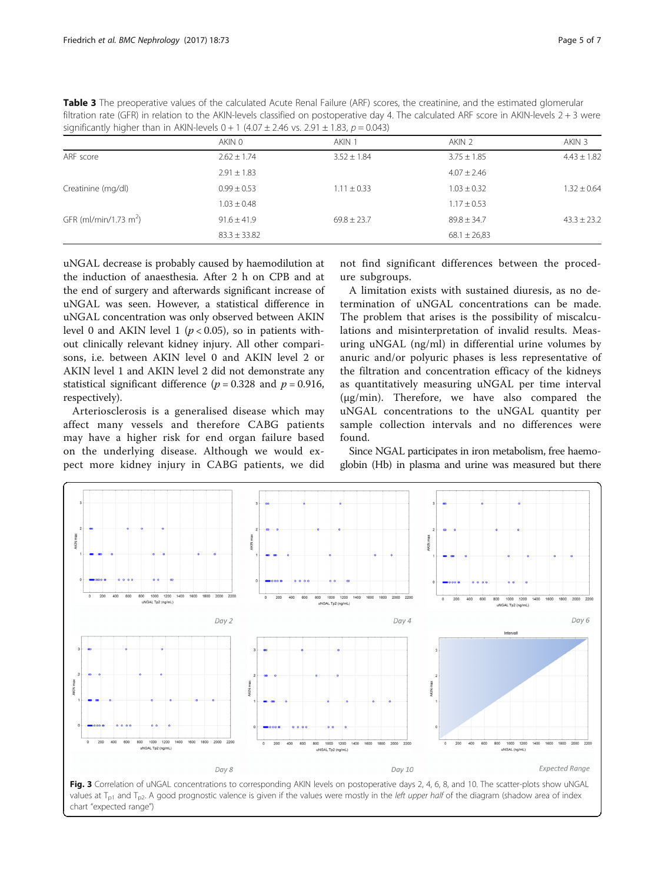<span id="page-4-0"></span>Table 3 The preoperative values of the calculated Acute Renal Failure (ARF) scores, the creatinine, and the estimated glomerular filtration rate (GFR) in relation to the AKIN-levels classified on postoperative day 4. The calculated ARF score in AKIN-levels 2 + 3 were significantly higher than in AKIN-levels  $0 + 1$  (4.07 ± 2.46 vs. 2.91 ± 1.83,  $p = 0.043$ )

|                                   | AKIN 0           | AKIN 1          | AKIN 2           | AKIN 3          |
|-----------------------------------|------------------|-----------------|------------------|-----------------|
| ARF score                         | $2.62 \pm 1.74$  | $3.52 \pm 1.84$ | $3.75 \pm 1.85$  | $4.43 \pm 1.82$ |
|                                   | $2.91 \pm 1.83$  |                 | $4.07 \pm 2.46$  |                 |
| Creatinine (mg/dl)                | $0.99 \pm 0.53$  | $1.11 \pm 0.33$ | $1.03 \pm 0.32$  | $1.32 \pm 0.64$ |
|                                   | $1.03 \pm 0.48$  |                 | $1.17 \pm 0.53$  |                 |
| GFR (ml/min/1.73 m <sup>2</sup> ) | $91.6 \pm 41.9$  | $69.8 \pm 23.7$ | $89.8 \pm 34.7$  | $43.3 \pm 23.2$ |
|                                   | $83.3 \pm 33.82$ |                 | $68.1 \pm 26.83$ |                 |
|                                   |                  |                 |                  |                 |

uNGAL decrease is probably caused by haemodilution at the induction of anaesthesia. After 2 h on CPB and at the end of surgery and afterwards significant increase of uNGAL was seen. However, a statistical difference in uNGAL concentration was only observed between AKIN level 0 and AKIN level 1 ( $p < 0.05$ ), so in patients without clinically relevant kidney injury. All other comparisons, i.e. between AKIN level 0 and AKIN level 2 or AKIN level 1 and AKIN level 2 did not demonstrate any statistical significant difference ( $p = 0.328$  and  $p = 0.916$ , respectively).

Arteriosclerosis is a generalised disease which may affect many vessels and therefore CABG patients may have a higher risk for end organ failure based on the underlying disease. Although we would expect more kidney injury in CABG patients, we did not find significant differences between the procedure subgroups.

A limitation exists with sustained diuresis, as no determination of uNGAL concentrations can be made. The problem that arises is the possibility of miscalculations and misinterpretation of invalid results. Measuring uNGAL (ng/ml) in differential urine volumes by anuric and/or polyuric phases is less representative of the filtration and concentration efficacy of the kidneys as quantitatively measuring uNGAL per time interval (μg/min). Therefore, we have also compared the uNGAL concentrations to the uNGAL quantity per sample collection intervals and no differences were found.

Since NGAL participates in iron metabolism, free haemoglobin (Hb) in plasma and urine was measured but there



Fig. 3 Correlation of uNGAL concentrations to corresponding AKIN levels on postoperative days 2, 4, 6, 8, and 10. The scatter-plots show uNGAL values at  $T_{p1}$  and  $T_{p2}$ . A good prognostic valence is given if the values were mostly in the left upper half of the diagram (shadow area of index chart "expected range")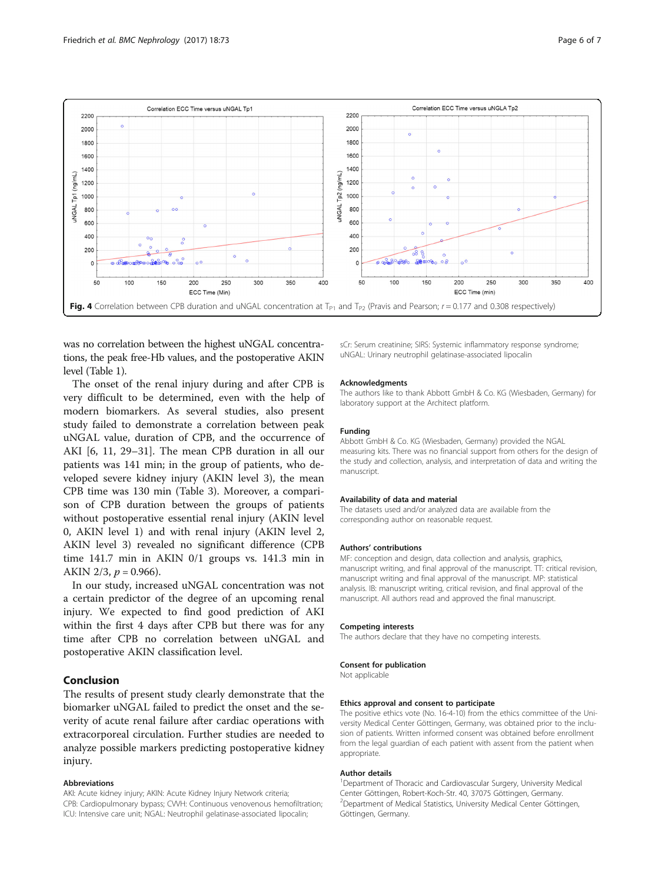<span id="page-5-0"></span>

was no correlation between the highest uNGAL concentrations, the peak free-Hb values, and the postoperative AKIN level (Table [1\)](#page-2-0).

The onset of the renal injury during and after CPB is very difficult to be determined, even with the help of modern biomarkers. As several studies, also present study failed to demonstrate a correlation between peak uNGAL value, duration of CPB, and the occurrence of AKI [[6, 11, 29](#page-6-0)–[31\]](#page-6-0). The mean CPB duration in all our patients was 141 min; in the group of patients, who developed severe kidney injury (AKIN level 3), the mean CPB time was 130 min (Table [3](#page-4-0)). Moreover, a comparison of CPB duration between the groups of patients without postoperative essential renal injury (AKIN level 0, AKIN level 1) and with renal injury (AKIN level 2, AKIN level 3) revealed no significant difference (CPB time 141.7 min in AKIN 0/1 groups vs. 141.3 min in AKIN 2/3,  $p = 0.966$ ).

In our study, increased uNGAL concentration was not a certain predictor of the degree of an upcoming renal injury. We expected to find good prediction of AKI within the first 4 days after CPB but there was for any time after CPB no correlation between uNGAL and postoperative AKIN classification level.

## Conclusion

The results of present study clearly demonstrate that the biomarker uNGAL failed to predict the onset and the severity of acute renal failure after cardiac operations with extracorporeal circulation. Further studies are needed to analyze possible markers predicting postoperative kidney injury.

#### Abbreviations

AKI: Acute kidney injury; AKIN: Acute Kidney Injury Network criteria; CPB: Cardiopulmonary bypass; CVVH: Continuous venovenous hemofiltration; ICU: Intensive care unit; NGAL: Neutrophil gelatinase-associated lipocalin;

sCr: Serum creatinine; SIRS: Systemic inflammatory response syndrome; uNGAL: Urinary neutrophil gelatinase-associated lipocalin

#### Acknowledgments

The authors like to thank Abbott GmbH & Co. KG (Wiesbaden, Germany) for laboratory support at the Architect platform.

#### Funding

Abbott GmbH & Co. KG (Wiesbaden, Germany) provided the NGAL measuring kits. There was no financial support from others for the design of the study and collection, analysis, and interpretation of data and writing the manuscript.

#### Availability of data and material

The datasets used and/or analyzed data are available from the corresponding author on reasonable request.

#### Authors' contributions

MF: conception and design, data collection and analysis, graphics, manuscript writing, and final approval of the manuscript. TT: critical revision, manuscript writing and final approval of the manuscript. MP: statistical analysis. IB: manuscript writing, critical revision, and final approval of the manuscript. All authors read and approved the final manuscript.

#### Competing interests

The authors declare that they have no competing interests.

#### Consent for publication

Not applicable

#### Ethics approval and consent to participate

The positive ethics vote (No. 16-4-10) from the ethics committee of the University Medical Center Göttingen, Germany, was obtained prior to the inclusion of patients. Written informed consent was obtained before enrollment from the legal guardian of each patient with assent from the patient when appropriate.

#### Author details

<sup>1</sup>Department of Thoracic and Cardiovascular Surgery, University Medical Center Göttingen, Robert-Koch-Str. 40, 37075 Göttingen, Germany. 2 Department of Medical Statistics, University Medical Center Göttingen, Göttingen, Germany.